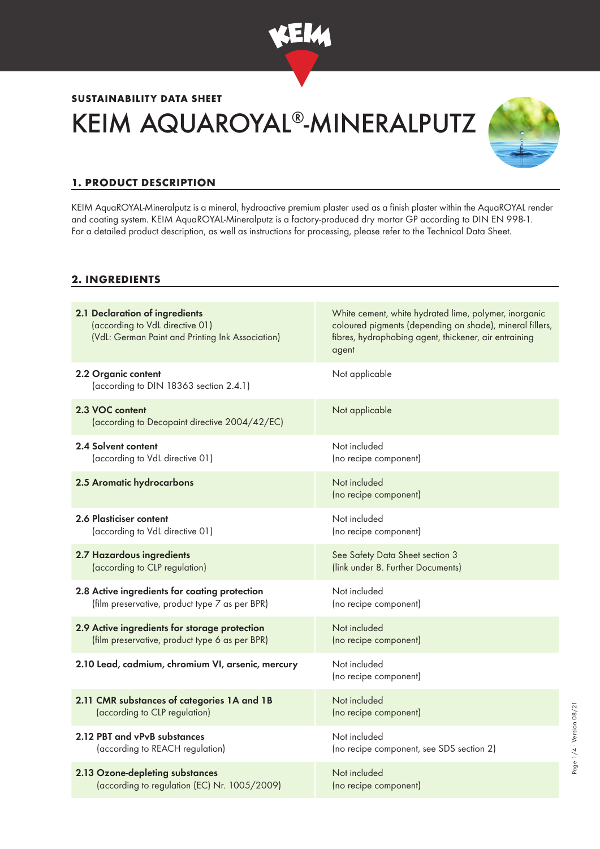

# **SUSTAINABILITY DATA SHEET** KEIM AQUAROYAL®-MINERALPUTZ



# **1. PRODUCT DESCRIPTION**

KEIM AquaROYAL-Mineralputz is a mineral, hydroactive premium plaster used as a finish plaster within the AquaROYAL render and coating system. KEIM AquaROYAL-Mineralputz is a factory-produced dry mortar GP according to DIN EN 998-1. For a detailed product description, as well as instructions for processing, please refer to the Technical Data Sheet.

#### **2. INGREDIENTS**

| 2.1 Declaration of ingredients<br>(according to VdL directive 01)<br>(VdL: German Paint and Printing Ink Association) | White cement, white hydrated lime, polymer, inorganic<br>coloured pigments (depending on shade), mineral fillers,<br>fibres, hydrophobing agent, thickener, air entraining<br>agent |
|-----------------------------------------------------------------------------------------------------------------------|-------------------------------------------------------------------------------------------------------------------------------------------------------------------------------------|
| 2.2 Organic content<br>(according to DIN 18363 section 2.4.1)                                                         | Not applicable                                                                                                                                                                      |
| 2.3 VOC content<br>(according to Decopaint directive 2004/42/EC)                                                      | Not applicable                                                                                                                                                                      |
| 2.4 Solvent content                                                                                                   | Not included                                                                                                                                                                        |
| (according to VdL directive 01)                                                                                       | (no recipe component)                                                                                                                                                               |
| 2.5 Aromatic hydrocarbons                                                                                             | Not included<br>(no recipe component)                                                                                                                                               |
| 2.6 Plasticiser content                                                                                               | Not included                                                                                                                                                                        |
| (according to VdL directive 01)                                                                                       | (no recipe component)                                                                                                                                                               |
| 2.7 Hazardous ingredients                                                                                             | See Safety Data Sheet section 3                                                                                                                                                     |
| (according to CLP regulation)                                                                                         | (link under 8. Further Documents)                                                                                                                                                   |
| 2.8 Active ingredients for coating protection                                                                         | Not included                                                                                                                                                                        |
| (film preservative, product type 7 as per BPR)                                                                        | (no recipe component)                                                                                                                                                               |
| 2.9 Active ingredients for storage protection                                                                         | Not included                                                                                                                                                                        |
| (film preservative, product type 6 as per BPR)                                                                        | (no recipe component)                                                                                                                                                               |
| 2.10 Lead, cadmium, chromium VI, arsenic, mercury                                                                     | Not included<br>(no recipe component)                                                                                                                                               |
| 2.11 CMR substances of categories 1A and 1B                                                                           | Not included                                                                                                                                                                        |
| (according to CLP regulation)                                                                                         | (no recipe component)                                                                                                                                                               |
| 2.12 PBT and vPvB substances                                                                                          | Not included                                                                                                                                                                        |
| (according to REACH regulation)                                                                                       | (no recipe component, see SDS section 2)                                                                                                                                            |
| 2.13 Ozone-depleting substances                                                                                       | Not included                                                                                                                                                                        |
| (according to regulation (EC) Nr. 1005/2009)                                                                          | (no recipe component)                                                                                                                                                               |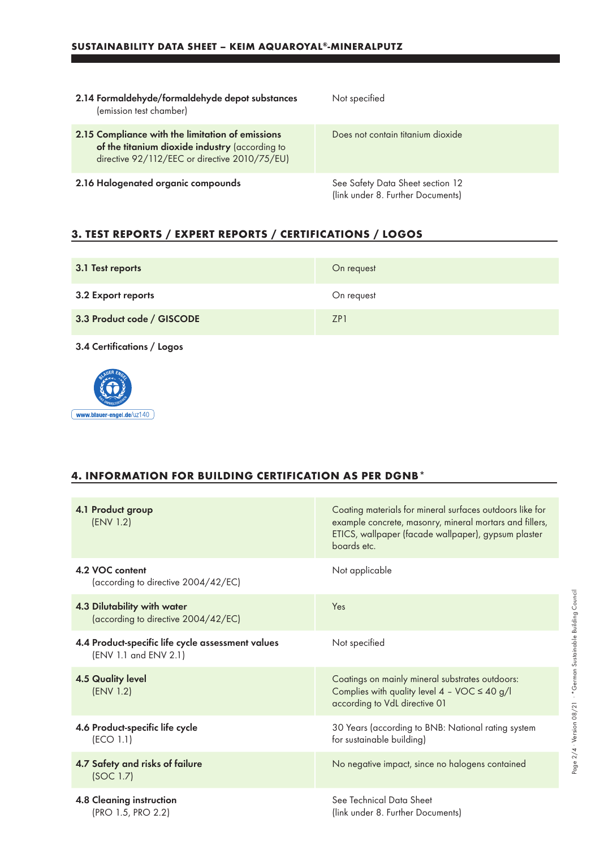| 2.14 Formaldehyde/formaldehyde depot substances<br>(emission test chamber)                                                                          | Not specified                                                         |
|-----------------------------------------------------------------------------------------------------------------------------------------------------|-----------------------------------------------------------------------|
| 2.15 Compliance with the limitation of emissions<br>of the titanium dioxide industry (according to<br>directive 92/112/EEC or directive 2010/75/EU) | Does not contain titanium dioxide                                     |
| 2.16 Halogenated organic compounds                                                                                                                  | See Safety Data Sheet section 12<br>(link under 8. Further Documents) |

## **3. TEST REPORTS / EXPERT REPORTS / CERTIFICATIONS / LOGOS**

| 3.1 Test reports           | On request |
|----------------------------|------------|
| 3.2 Export reports         | On request |
| 3.3 Product code / GISCODE | ZP1        |

3.4 Certifications / Logos



### **4. INFORMATION FOR BUILDING CERTIFICATION AS PER DGNB\***

| 4.1 Product group<br>(ENV 1.2)                                             | Coating materials for mineral surfaces outdoors like for<br>example concrete, masonry, mineral mortars and fillers,<br>ETICS, wallpaper (facade wallpaper), gypsum plaster<br>boards etc. |
|----------------------------------------------------------------------------|-------------------------------------------------------------------------------------------------------------------------------------------------------------------------------------------|
| 4.2 VOC content<br>(according to directive 2004/42/EC)                     | Not applicable                                                                                                                                                                            |
| 4.3 Dilutability with water<br>(according to directive 2004/42/EC)         | Yes                                                                                                                                                                                       |
| 4.4 Product-specific life cycle assessment values<br>(ENV 1.1 and ENV 2.1) | Not specified                                                                                                                                                                             |
| <b>4.5 Quality level</b><br>(ENV 1.2)                                      | Coatings on mainly mineral substrates outdoors:<br>Complies with quality level $4 - \text{VOC} \le 40 \text{ g/l}$<br>according to VdL directive 01                                       |
| 4.6 Product-specific life cycle<br>(ECO 1.1)                               | 30 Years (according to BNB: National rating system<br>for sustainable building)                                                                                                           |
| 4.7 Safety and risks of failure<br>(SOC 1.7)                               | No negative impact, since no halogens contained                                                                                                                                           |
| 4.8 Cleaning instruction<br>(PRO 1.5, PRO 2.2)                             | See Technical Data Sheet<br>(link under 8. Further Documents)                                                                                                                             |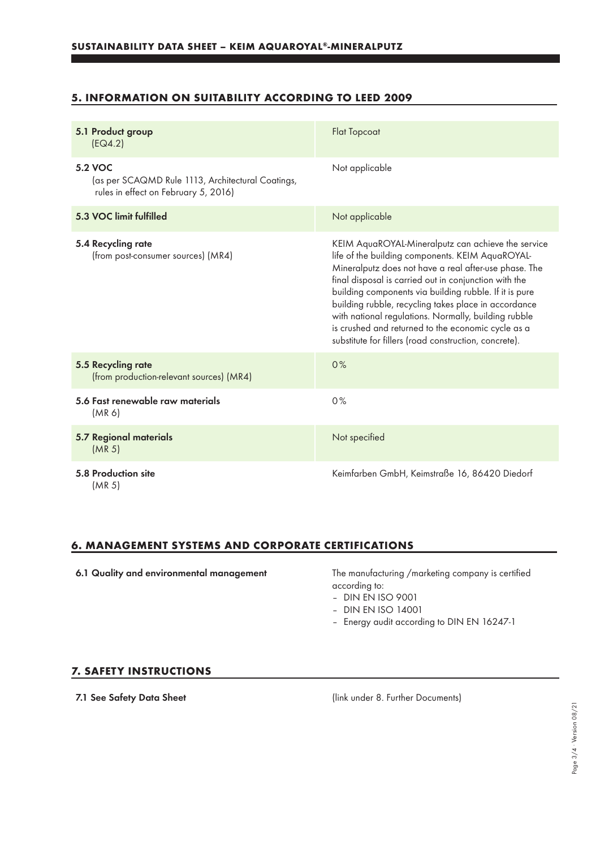#### **5. INFORMATION ON SUITABILITY ACCORDING TO LEED 2009**

| 5.1 Product group<br>[EQ4.2]                                                                         | <b>Flat Topcoat</b>                                                                                                                                                                                                                                                                                                                                                                                                                                                                                               |
|------------------------------------------------------------------------------------------------------|-------------------------------------------------------------------------------------------------------------------------------------------------------------------------------------------------------------------------------------------------------------------------------------------------------------------------------------------------------------------------------------------------------------------------------------------------------------------------------------------------------------------|
| 5.2 VOC<br>(as per SCAQMD Rule 1113, Architectural Coatings,<br>rules in effect on February 5, 2016) | Not applicable                                                                                                                                                                                                                                                                                                                                                                                                                                                                                                    |
| 5.3 VOC limit fulfilled                                                                              | Not applicable                                                                                                                                                                                                                                                                                                                                                                                                                                                                                                    |
| 5.4 Recycling rate<br>(from post-consumer sources) (MR4)                                             | KEIM AquaROYAL-Mineralputz can achieve the service<br>life of the building components. KEIM AquaROYAL-<br>Mineralputz does not have a real after-use phase. The<br>final disposal is carried out in conjunction with the<br>building components via building rubble. If it is pure<br>building rubble, recycling takes place in accordance<br>with national regulations. Normally, building rubble<br>is crushed and returned to the economic cycle as a<br>substitute for fillers (road construction, concrete). |
| 5.5 Recycling rate<br>(from production-relevant sources) (MR4)                                       | 0%                                                                                                                                                                                                                                                                                                                                                                                                                                                                                                                |
| 5.6 Fast renewable raw materials<br>(MR 6)                                                           | 0%                                                                                                                                                                                                                                                                                                                                                                                                                                                                                                                |
| <b>5.7 Regional materials</b><br>(MR <sub>5</sub> )                                                  | Not specified                                                                                                                                                                                                                                                                                                                                                                                                                                                                                                     |
| 5.8 Production site<br>(MR <sub>5</sub> )                                                            | Keimfarben GmbH, Keimstraße 16, 86420 Diedorf                                                                                                                                                                                                                                                                                                                                                                                                                                                                     |

#### **6. MANAGEMENT SYSTEMS AND CORPORATE CERTIFICATIONS**

6.1 Quality and environmental management The manufacturing /marketing company is certified

according to:

- DIN EN ISO 9001
- DIN EN ISO 14001
- Energy audit according to DIN EN 16247-1

#### **7. SAFETY INSTRUCTIONS**

7.1 See Safety Data Sheet (link under 8. Further Documents)